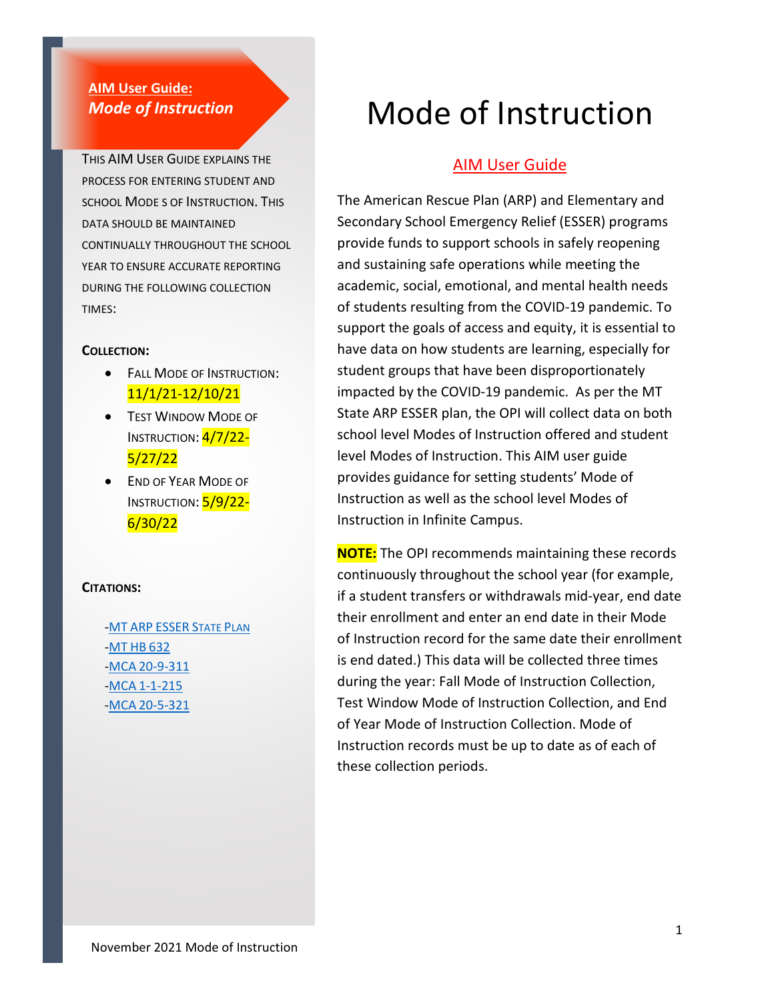#### **AIM User Guide:** *Mode of Instruction*

THIS AIM USER GUIDE EXPLAINS THE PROCESS FOR ENTERING STUDENT AND SCHOOL MODE S OF INSTRUCTION. THIS DATA SHOULD BE MAINTAINED CONTINUALLY THROUGHOUT THE SCHOOL YEAR TO ENSURE ACCURATE REPORTING DURING THE FOLLOWING COLLECTION TIMES:

#### **COLLECTION:**

- FALL MODE OF INSTRUCTION: 11/1/21-12/10/21
- TEST WINDOW MODE OF INSTRUCTION: 4/7/22-5/27/22
- END OF YEAR MODE OF INSTRUCTION: 5/9/22-6/30/22

#### **CITATIONS:**

-MT ARP ESSER [STATE PLAN](https://opi.mt.gov/LinkClick.aspx?fileticket=8Iwgpzuy0j4%3d&portalid=182) [-MT](https://leg.mt.gov/bills/2021/billpdf/HB0632.pdf) HB 632 -MCA [20-9-311](https://leg.mt.gov/bills/mca/title_0200/chapter_0090/part_0030/section_0110/0200-0090-0030-0110.html) -MCA [1-1-215](https://leg.mt.gov/bills/mca/title_0010/chapter_0010/part_0020/section_0150/0010-0010-0020-0150.html) -MCA [20-5-321](https://leg.mt.gov/bills/mca/title_0200/chapter_0050/part_0030/section_0210/0200-0050-0030-0210.html)

# Mode of Instruction

#### AIM User Guide

The American Rescue Plan (ARP) and Elementary and Secondary School Emergency Relief (ESSER) programs provide funds to support schools in safely reopening and sustaining safe operations while meeting the academic, social, emotional, and mental health needs of students resulting from the COVID-19 pandemic. To support the goals of access and equity, it is essential to have data on how students are learning, especially for student groups that have been disproportionately impacted by the COVID-19 pandemic. As per the MT State ARP ESSER plan, the OPI will collect data on both school level Modes of Instruction offered and student level Modes of Instruction. This AIM user guide provides guidance for setting students' Mode of Instruction as well as the school level Modes of Instruction in Infinite Campus.

**NOTE:** The OPI recommends maintaining these records continuously throughout the school year (for example, if a student transfers or withdrawals mid-year, end date their enrollment and enter an end date in their Mode of Instruction record for the same date their enrollment is end dated.) This data will be collected three times during the year: Fall Mode of Instruction Collection, Test Window Mode of Instruction Collection, and End of Year Mode of Instruction Collection. Mode of Instruction records must be up to date as of each of these collection periods.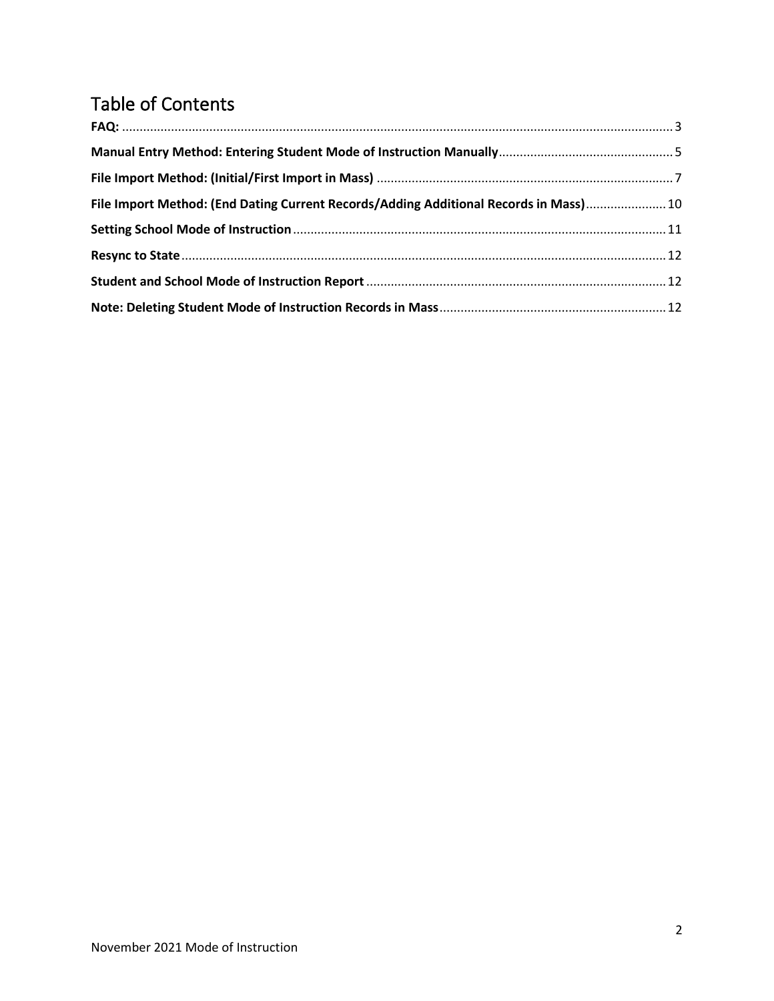# Table of Contents

| File Import Method: (End Dating Current Records/Adding Additional Records in Mass) 10 |  |
|---------------------------------------------------------------------------------------|--|
|                                                                                       |  |
|                                                                                       |  |
|                                                                                       |  |
|                                                                                       |  |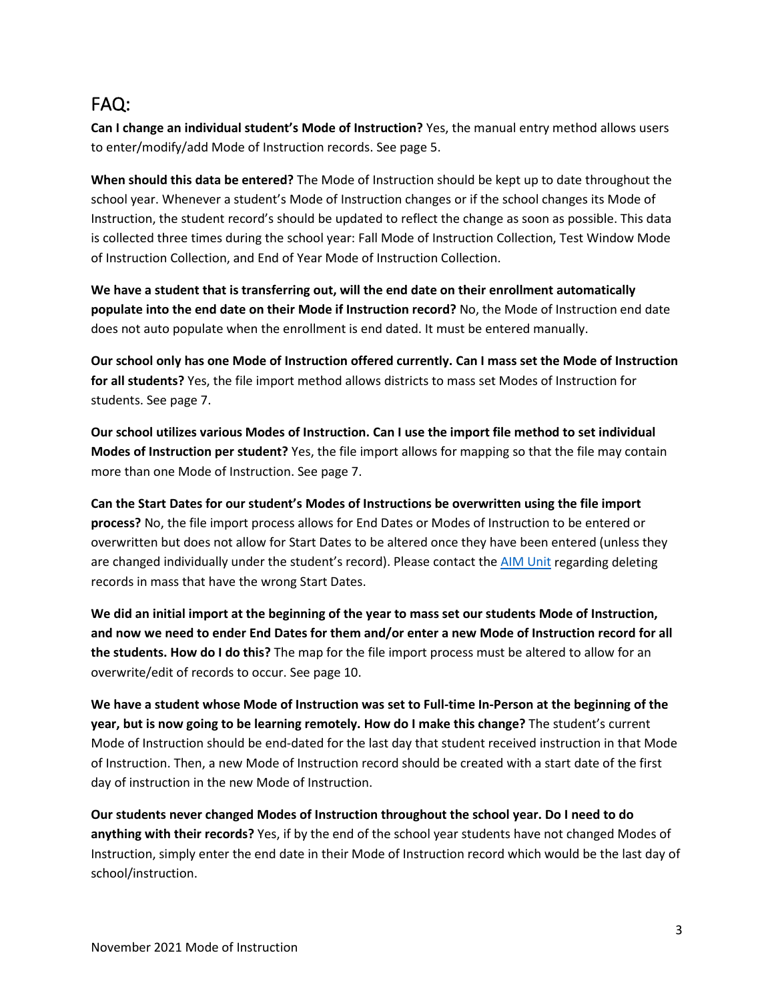### <span id="page-2-0"></span>FAQ:

**Can I change an individual student's Mode of Instruction?** Yes, the manual entry method allows users to enter/modify/add Mode of Instruction records. See page 5.

**When should this data be entered?** The Mode of Instruction should be kept up to date throughout the school year. Whenever a student's Mode of Instruction changes or if the school changes its Mode of Instruction, the student record's should be updated to reflect the change as soon as possible. This data is collected three times during the school year: Fall Mode of Instruction Collection, Test Window Mode of Instruction Collection, and End of Year Mode of Instruction Collection.

**We have a student that is transferring out, will the end date on their enrollment automatically populate into the end date on their Mode if Instruction record?** No, the Mode of Instruction end date does not auto populate when the enrollment is end dated. It must be entered manually.

**Our school only has one Mode of Instruction offered currently. Can I mass set the Mode of Instruction for all students?** Yes, the file import method allows districts to mass set Modes of Instruction for students. See page 7.

**Our school utilizes various Modes of Instruction. Can I use the import file method to set individual Modes of Instruction per student?** Yes, the file import allows for mapping so that the file may contain more than one Mode of Instruction. See page 7.

**Can the Start Dates for our student's Modes of Instructions be overwritten using the file import process?** No, the file import process allows for End Dates or Modes of Instruction to be entered or overwritten but does not allow for Start Dates to be altered once they have been entered (unless they are changed individually under the student's record). Please contact the [AIM Unit](https://opiservicedesk.opi.mt.gov/help/servicedesk/customer/portal/7/user/login?nosaml&destination=portal/7) regarding deleting records in mass that have the wrong Start Dates.

**We did an initial import at the beginning of the year to mass set our students Mode of Instruction, and now we need to ender End Dates for them and/or enter a new Mode of Instruction record for all the students. How do I do this?** The map for the file import process must be altered to allow for an overwrite/edit of records to occur. See page 10.

**We have a student whose Mode of Instruction was set to Full-time In-Person at the beginning of the year, but is now going to be learning remotely. How do I make this change?** The student's current Mode of Instruction should be end-dated for the last day that student received instruction in that Mode of Instruction. Then, a new Mode of Instruction record should be created with a start date of the first day of instruction in the new Mode of Instruction.

**Our students never changed Modes of Instruction throughout the school year. Do I need to do anything with their records?** Yes, if by the end of the school year students have not changed Modes of Instruction, simply enter the end date in their Mode of Instruction record which would be the last day of school/instruction.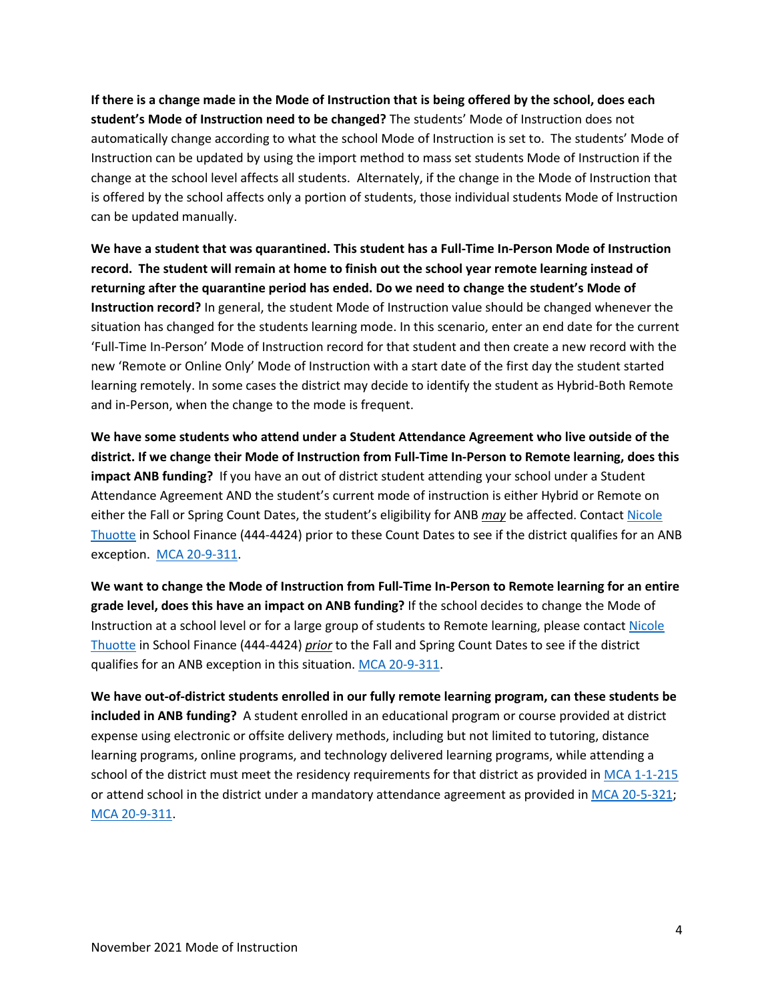**If there is a change made in the Mode of Instruction that is being offered by the school, does each student's Mode of Instruction need to be changed?** The students' Mode of Instruction does not automatically change according to what the school Mode of Instruction is set to. The students' Mode of Instruction can be updated by using the import method to mass set students Mode of Instruction if the change at the school level affects all students. Alternately, if the change in the Mode of Instruction that is offered by the school affects only a portion of students, those individual students Mode of Instruction can be updated manually.

**We have a student that was quarantined. This student has a Full-Time In-Person Mode of Instruction record. The student will remain at home to finish out the school year remote learning instead of returning after the quarantine period has ended. Do we need to change the student's Mode of Instruction record?** In general, the student Mode of Instruction value should be changed whenever the situation has changed for the students learning mode. In this scenario, enter an end date for the current 'Full-Time In-Person' Mode of Instruction record for that student and then create a new record with the new 'Remote or Online Only' Mode of Instruction with a start date of the first day the student started learning remotely. In some cases the district may decide to identify the student as Hybrid-Both Remote and in-Person, when the change to the mode is frequent.

**We have some students who attend under a Student Attendance Agreement who live outside of the district. If we change their Mode of Instruction from Full-Time In-Person to Remote learning, does this impact ANB funding?** If you have an out of district student attending your school under a Student Attendance Agreement AND the student's current mode of instruction is either Hybrid or Remote on either the Fall or Spring Count Dates, the student's eligibility for ANB *may* be affected. Contact [Nicole](mailto:nthuotte@mt.gov)  [Thuotte](mailto:nthuotte@mt.gov) in School Finance (444-4424) prior to these Count Dates to see if the district qualifies for an ANB exception. [MCA 20-9-311.](https://leg.mt.gov/bills/mca/title_0200/chapter_0090/part_0030/section_0110/0200-0090-0030-0110.html)

**We want to change the Mode of Instruction from Full-Time In-Person to Remote learning for an entire grade level, does this have an impact on ANB funding?** If the school decides to change the Mode of Instruction at a school level or for a large group of students to Remote learning, please contact Nicole [Thuotte](mailto:nthuotte@mt.gov) in School Finance (444-4424) *prior* to the Fall and Spring Count Dates to see if the district qualifies for an ANB exception in this situation[. MCA 20-9-311.](https://leg.mt.gov/bills/mca/title_0200/chapter_0090/part_0030/section_0110/0200-0090-0030-0110.html)

**We have out-of-district students enrolled in our fully remote learning program, can these students be included in ANB funding?** A student enrolled in an educational program or course provided at district expense using electronic or offsite delivery methods, including but not limited to tutoring, distance learning programs, online programs, and technology delivered learning programs, while attending a school of the district must meet the residency requirements for that district as provided in [MCA 1-1-215](https://leg.mt.gov/bills/mca/title_0010/chapter_0010/part_0020/section_0150/0010-0010-0020-0150.html) or attend school in the district under a mandatory attendance agreement as provided in [MCA 20-5-321;](https://leg.mt.gov/bills/mca/title_0200/chapter_0050/part_0030/section_0210/0200-0050-0030-0210.html) [MCA 20-9-311.](https://leg.mt.gov/bills/mca/title_0200/chapter_0090/part_0030/section_0110/0200-0090-0030-0110.html)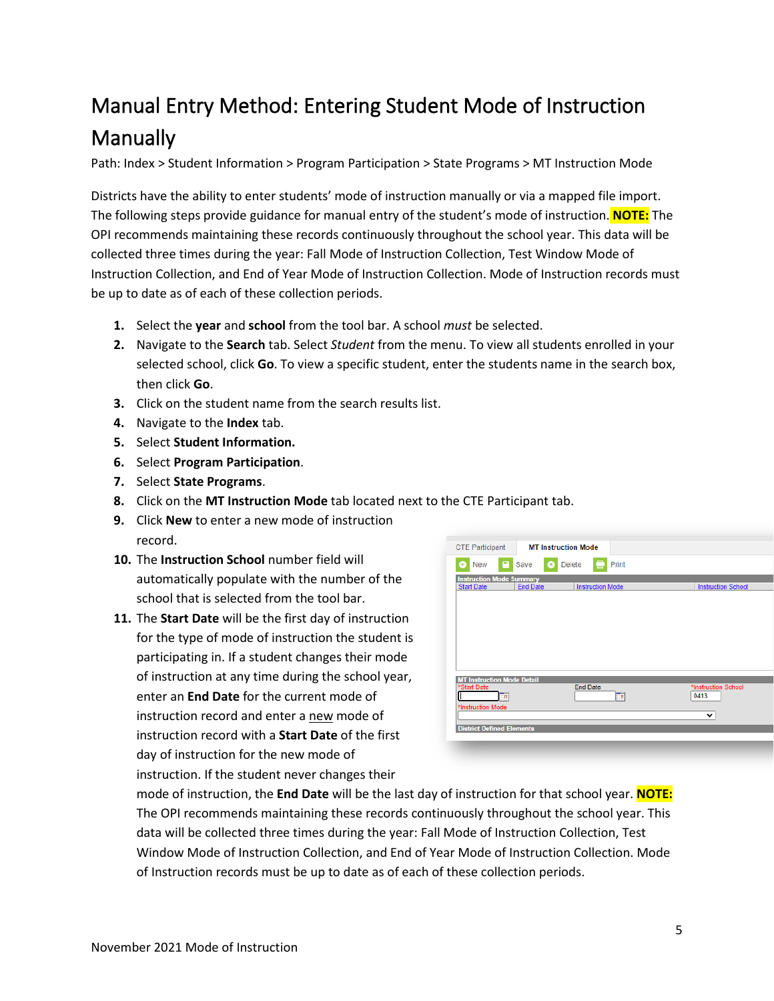# <span id="page-4-0"></span>Manual Entry Method: Entering Student Mode of Instruction Manually

Path: Index > Student Information > Program Participation > State Programs > MT Instruction Mode

Districts have the ability to enter students' mode of instruction manually or via a mapped file import. The following steps provide guidance for manual entry of the student's mode of instruction. **NOTE:** The OPI recommends maintaining these records continuously throughout the school year. This data will be collected three times during the year: Fall Mode of Instruction Collection, Test Window Mode of Instruction Collection, and End of Year Mode of Instruction Collection. Mode of Instruction records must be up to date as of each of these collection periods.

- **1.** Select the **year** and **school** from the tool bar. A school *must* be selected.
- **2.** Navigate to the **Search** tab. Select *Student* from the menu. To view all students enrolled in your selected school, click **Go**. To view a specific student, enter the students name in the search box, then click **Go**.
- **3.** Click on the student name from the search results list.
- **4.** Navigate to the **Index** tab.
- **5.** Select **Student Information.**
- **6.** Select **Program Participation**.
- **7.** Select **State Programs**.
- **8.** Click on the **MT Instruction Mode** tab located next to the CTE Participant tab.
- **9.** Click **New** to enter a new mode of instruction record.
- **10.** The **Instruction School** number field will automatically populate with the number of the school that is selected from the tool bar.
- **11.** The **Start Date** will be the first day of instruction for the type of mode of instruction the student is participating in. If a student changes their mode of instruction at any time during the school year, enter an **End Date** for the current mode of instruction record and enter a new mode of instruction record with a **Start Date** of the first day of instruction for the new mode of instruction. If the student never changes their

| <b>CTE Participant</b>                               | <b>MT Instruction Mode</b>        |                         |                             |
|------------------------------------------------------|-----------------------------------|-------------------------|-----------------------------|
| e<br><b>New</b><br>Ŧ                                 | Save<br><b>Delete</b><br>$\infty$ | Print                   |                             |
| <b>Instruction Mode Summary</b><br><b>Start Date</b> | <b>End Date</b>                   | <b>Instruction Mode</b> | <b>Instruction School</b>   |
|                                                      |                                   |                         |                             |
|                                                      |                                   |                         |                             |
|                                                      |                                   |                         |                             |
| <b>MT Instruction Mode Detail</b>                    |                                   |                         |                             |
| *Start Date<br>Ta                                    |                                   | <b>End Date</b><br>Ta   | *Instruction School<br>0413 |
| *Instruction Mode                                    |                                   |                         | $\check{ }$                 |
| <b>District Defined Elements</b>                     |                                   |                         |                             |

mode of instruction, the **End Date** will be the last day of instruction for that school year. **NOTE:** The OPI recommends maintaining these records continuously throughout the school year. This data will be collected three times during the year: Fall Mode of Instruction Collection, Test Window Mode of Instruction Collection, and End of Year Mode of Instruction Collection. Mode of Instruction records must be up to date as of each of these collection periods.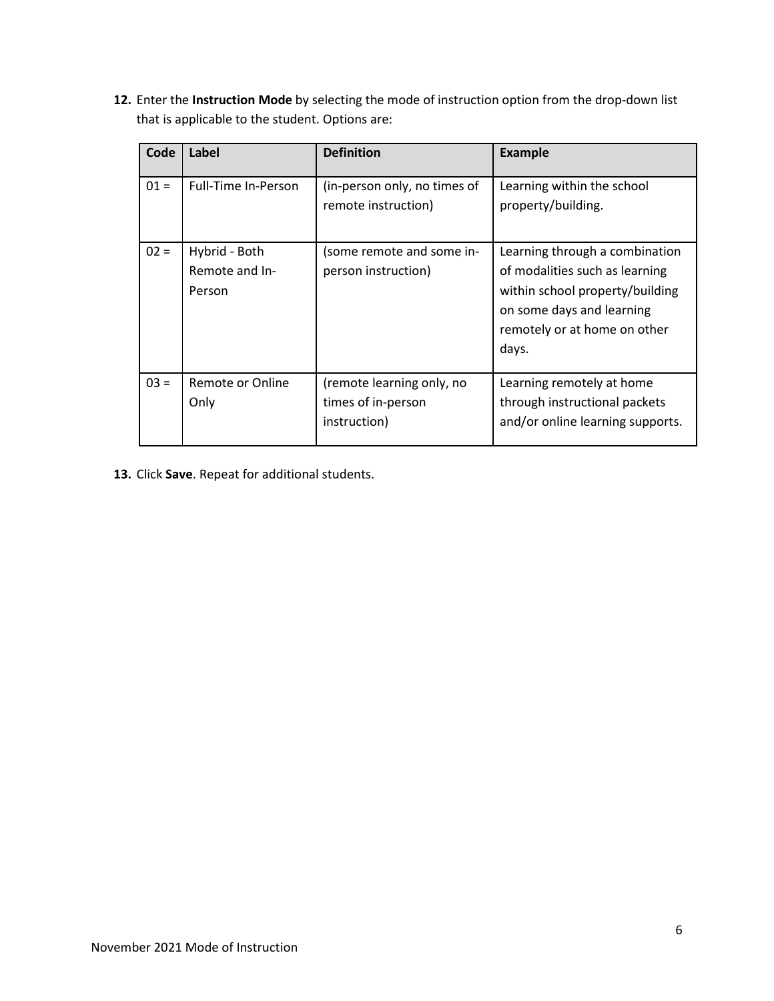**12.** Enter the **Instruction Mode** by selecting the mode of instruction option from the drop-down list that is applicable to the student. Options are:

| Code   | Label                                     | <b>Definition</b>                                               | <b>Example</b>                                                                                                                                                            |
|--------|-------------------------------------------|-----------------------------------------------------------------|---------------------------------------------------------------------------------------------------------------------------------------------------------------------------|
| $01 =$ | Full-Time In-Person                       | (in-person only, no times of<br>remote instruction)             | Learning within the school<br>property/building.                                                                                                                          |
| $02 =$ | Hybrid - Both<br>Remote and In-<br>Person | (some remote and some in-<br>person instruction)                | Learning through a combination<br>of modalities such as learning<br>within school property/building<br>on some days and learning<br>remotely or at home on other<br>days. |
| $03 =$ | Remote or Online<br>Only                  | (remote learning only, no<br>times of in-person<br>instruction) | Learning remotely at home<br>through instructional packets<br>and/or online learning supports.                                                                            |

**13.** Click **Save**. Repeat for additional students.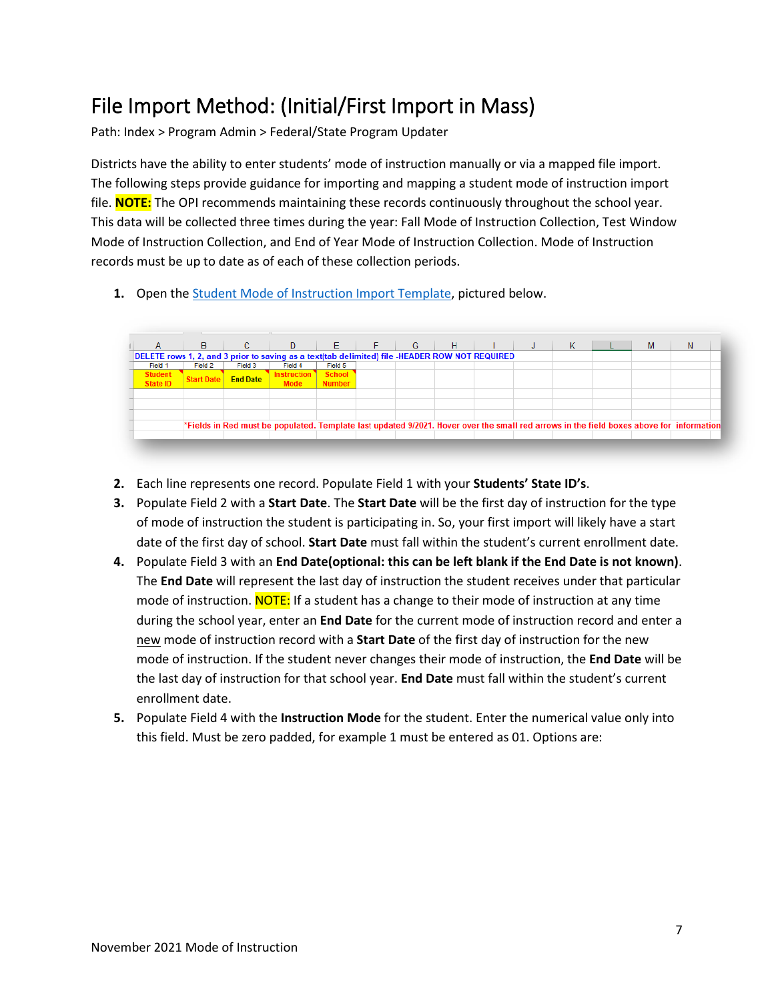# <span id="page-6-0"></span>File Import Method: (Initial/First Import in Mass)

Path: Index > Program Admin > Federal/State Program Updater

Districts have the ability to enter students' mode of instruction manually or via a mapped file import. The following steps provide guidance for importing and mapping a student mode of instruction import file. **NOTE:** The OPI recommends maintaining these records continuously throughout the school year. This data will be collected three times during the year: Fall Mode of Instruction Collection, Test Window Mode of Instruction Collection, and End of Year Mode of Instruction Collection. Mode of Instruction records must be up to date as of each of these collection periods.

**1.** Open the [Student Mode of Instruction Import Template,](https://opi.mt.gov/Portals/182/Page%20Files/AIM/3%20AIM%20UPLOAD%20TEMPLATES/Student%20Mode%20of%20Instruction.xlsx?ver=2021-09-01-111233-553) pictured below.

|                                                                                                | B.                |                 | $C \parallel D$   |               | $E \parallel F$ | $-$ G $-$ | $-H$ |  | К |  | N                                                                                                                                        |
|------------------------------------------------------------------------------------------------|-------------------|-----------------|-------------------|---------------|-----------------|-----------|------|--|---|--|------------------------------------------------------------------------------------------------------------------------------------------|
| DELETE rows 1, 2, and 3 prior to saving as a text(tab delimited) file -HEADER ROW NOT REQUIRED |                   |                 |                   |               |                 |           |      |  |   |  |                                                                                                                                          |
| Field 1                                                                                        | Field 2           | Field 3         | Field 4           | Field 5       |                 |           |      |  |   |  |                                                                                                                                          |
| Student<br>State ID                                                                            | <b>Start Date</b> | <b>End Date</b> | <b>nstruction</b> | <b>School</b> |                 |           |      |  |   |  |                                                                                                                                          |
|                                                                                                |                   |                 | <b>Mode</b>       | <b>Number</b> |                 |           |      |  |   |  |                                                                                                                                          |
|                                                                                                |                   |                 |                   |               |                 |           |      |  |   |  |                                                                                                                                          |
|                                                                                                |                   |                 |                   |               |                 |           |      |  |   |  |                                                                                                                                          |
|                                                                                                |                   |                 |                   |               |                 |           |      |  |   |  |                                                                                                                                          |
|                                                                                                |                   |                 |                   |               |                 |           |      |  |   |  | *Fields in Red must be populated. Template last updated 9/2021. Hover over the small red arrows in the field boxes above for information |
|                                                                                                |                   |                 |                   |               |                 |           |      |  |   |  |                                                                                                                                          |
|                                                                                                |                   |                 |                   |               |                 |           |      |  |   |  |                                                                                                                                          |

- **2.** Each line represents one record. Populate Field 1 with your **Students' State ID's**.
- **3.** Populate Field 2 with a **Start Date**. The **Start Date** will be the first day of instruction for the type of mode of instruction the student is participating in. So, your first import will likely have a start date of the first day of school. **Start Date** must fall within the student's current enrollment date.
- **4.** Populate Field 3 with an **End Date(optional: this can be left blank if the End Date is not known)**. The **End Date** will represent the last day of instruction the student receives under that particular mode of instruction. NOTE: If a student has a change to their mode of instruction at any time during the school year, enter an **End Date** for the current mode of instruction record and enter a new mode of instruction record with a **Start Date** of the first day of instruction for the new mode of instruction. If the student never changes their mode of instruction, the **End Date** will be the last day of instruction for that school year. **End Date** must fall within the student's current enrollment date.
- **5.** Populate Field 4 with the **Instruction Mode** for the student. Enter the numerical value only into this field. Must be zero padded, for example 1 must be entered as 01. Options are: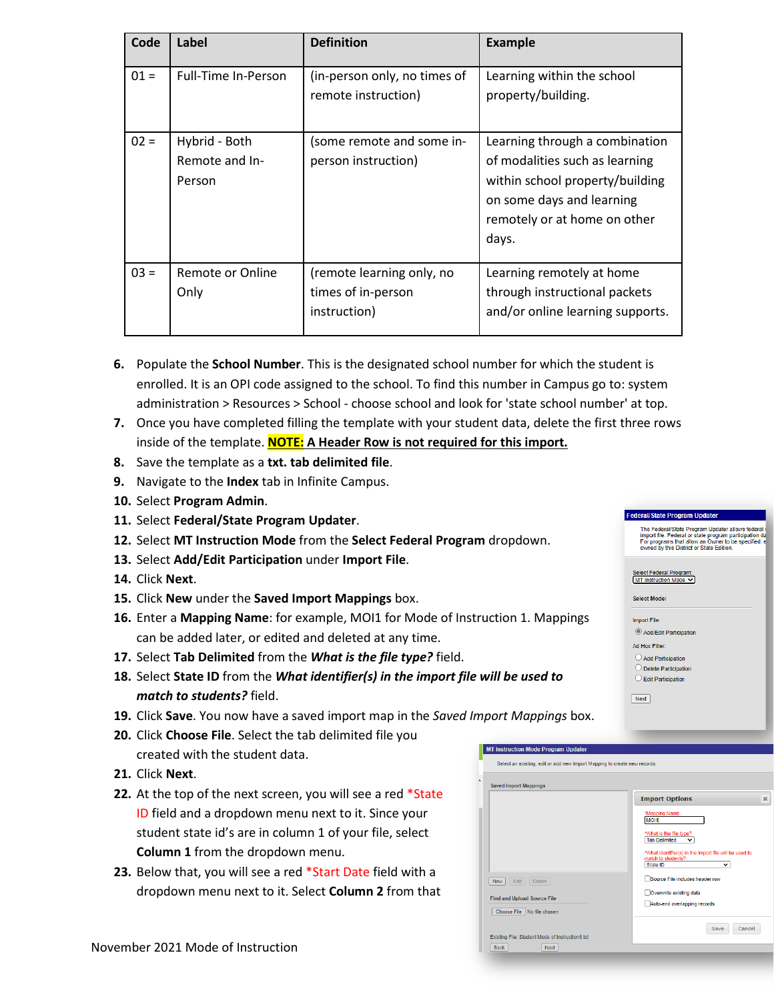| Code   | Label                                     | <b>Definition</b>                                               | <b>Example</b>                                                                                                                                                            |
|--------|-------------------------------------------|-----------------------------------------------------------------|---------------------------------------------------------------------------------------------------------------------------------------------------------------------------|
| $01 =$ | Full-Time In-Person                       | (in-person only, no times of<br>remote instruction)             | Learning within the school<br>property/building.                                                                                                                          |
| $02 =$ | Hybrid - Both<br>Remote and In-<br>Person | (some remote and some in-<br>person instruction)                | Learning through a combination<br>of modalities such as learning<br>within school property/building<br>on some days and learning<br>remotely or at home on other<br>days. |
| $03 =$ | Remote or Online<br>Only                  | (remote learning only, no<br>times of in-person<br>instruction) | Learning remotely at home<br>through instructional packets<br>and/or online learning supports.                                                                            |

- **6.** Populate the **School Number**. This is the designated school number for which the student is enrolled. It is an OPI code assigned to the school. To find this number in Campus go to: system administration > Resources > School - choose school and look for 'state school number' at top.
- **7.** Once you have completed filling the template with your student data, delete the first three rows inside of the template. **NOTE: A Header Row is not required for this import.**
- **8.** Save the template as a **txt. tab delimited file**.
- **9.** Navigate to the **Index** tab in Infinite Campus.
- **10.** Select **Program Admin**.
- **11.** Select **Federal/State Program Updater**.
- **12.** Select **MT Instruction Mode** from the **Select Federal Program** dropdown.
- **13.** Select **Add/Edit Participation** under **Import File**.
- **14.** Click **Next**.
- **15.** Click **New** under the **Saved Import Mappings** box.
- **16.** Enter a **Mapping Name**: for example, MOI1 for Mode of Instruction 1. Mappings can be added later, or edited and deleted at any time.
- **17.** Select **Tab Delimited** from the *What is the file type?* field.
- **18.** Select **State ID** from the *What identifier(s) in the import file will be used to match to students?* field.
- **19.** Click **Save**. You now have a saved import map in the *Saved Import Mappings* box.
- **20.** Click **Choose File**. Select the tab delimited file you created with the student data.
- **21.** Click **Next**.
- **22.** At the top of the next screen, you will see a red \*State ID field and a dropdown menu next to it. Since your student state id's are in column 1 of your file, select **Column 1** from the dropdown menu.
- **23.** Below that, you will see a red \*Start Date field with a dropdown menu next to it. Select **Column 2** from that



 $Next$ 

Federal/State Program Updater

Select Federal Program:<br>MT Instruction Mode V Select Mode: Import File:  $\textcircled{a}$  Add/Edit Participation Ad Hoc Filter:  $\bigcirc$  Add Participation O Delete Participation  $\bigcirc$  Edit Participation

The Federal/State Program Updater allows federal  $\epsilon$  import file. Federal or state program participation da<br>For programs that allow an Owner to be specified, e<br>owned by this District or State Edition.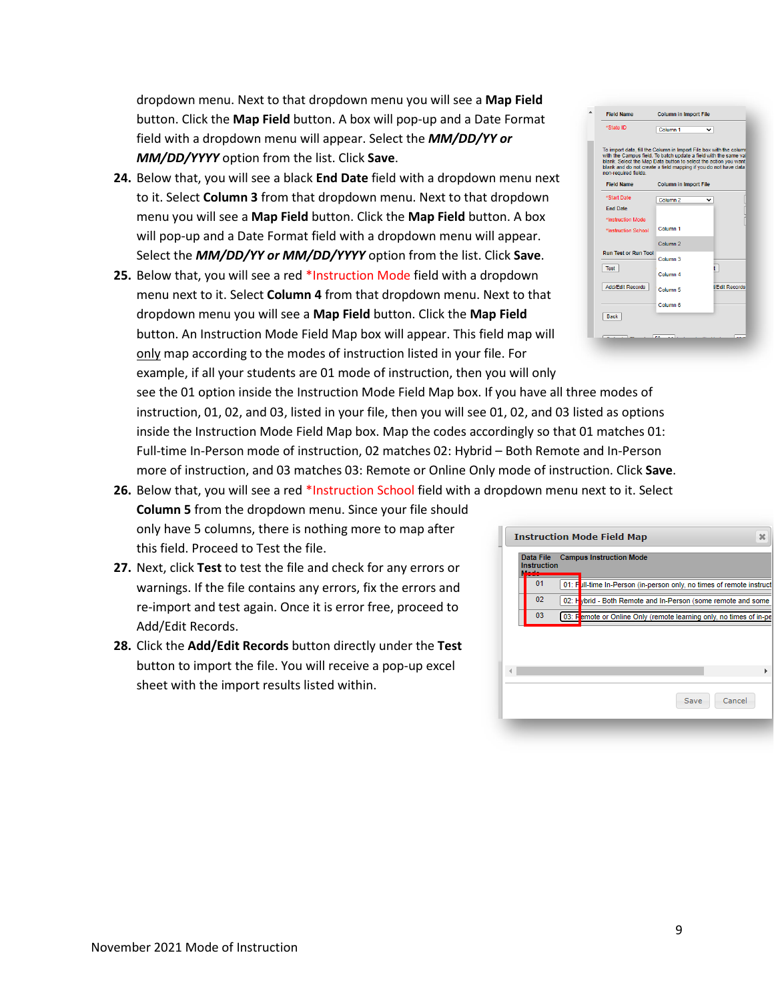dropdown menu. Next to that dropdown menu you will see a **Map Field** button. Click the **Map Field** button. A box will pop-up and a Date Format field with a dropdown menu will appear. Select the *MM/DD/YY or MM/DD/YYYY* option from the list. Click **Save**.

- **24.** Below that, you will see a black **End Date** field with a dropdown menu next to it. Select **Column 3** from that dropdown menu. Next to that dropdown menu you will see a **Map Field** button. Click the **Map Field** button. A box will pop-up and a Date Format field with a dropdown menu will appear. Select the *MM/DD/YY or MM/DD/YYYY* option from the list. Click **Save**.
- **25.** Below that, you will see a red \*Instruction Mode field with a dropdown menu next to it. Select **Column 4** from that dropdown menu. Next to that dropdown menu you will see a **Map Field** button. Click the **Map Field** button. An Instruction Mode Field Map box will appear. This field map will only map according to the modes of instruction listed in your file. For example, if all your students are 01 mode of instruction, then you will only

see the 01 option inside the Instruction Mode Field Map box. If you have all three modes of instruction, 01, 02, and 03, listed in your file, then you will see 01, 02, and 03 listed as options inside the Instruction Mode Field Map box. Map the codes accordingly so that 01 matches 01: Full-time In-Person mode of instruction, 02 matches 02: Hybrid – Both Remote and In-Person more of instruction, and 03 matches 03: Remote or Online Only mode of instruction. Click **Save**.

- **26.** Below that, you will see a red \*Instruction School field with a dropdown menu next to it. Select **Column 5** from the dropdown menu. Since your file should only have 5 columns, there is nothing more to map after this field. Proceed to Test the file.
- **27.** Next, click **Test** to test the file and check for any errors or warnings. If the file contains any errors, fix the errors and re-import and test again. Once it is error free, proceed to Add/Edit Records.
- **28.** Click the **Add/Edit Records** button directly under the **Test** button to import the file. You will receive a pop-up excel sheet with the import results listed within.

| blank and do not create a field mapping if you do not have data | blank. Select the Map Data button to select the action you want | with the Campus field. To batch update a field with the same val |
|-----------------------------------------------------------------|-----------------------------------------------------------------|------------------------------------------------------------------|
| non-required fields.                                            |                                                                 |                                                                  |
| <b>Field Name</b>                                               | <b>Column in Import File</b>                                    |                                                                  |
| *Start Date                                                     | Column <sub>2</sub>                                             |                                                                  |
| <b>End Date</b>                                                 |                                                                 |                                                                  |
| *Instruction Mode                                               |                                                                 |                                                                  |
| *Instruction School                                             | Column <sub>1</sub>                                             |                                                                  |
|                                                                 | Column <sub>2</sub>                                             |                                                                  |
| <b>Run Test or Run Tool</b>                                     | Column <sub>3</sub>                                             |                                                                  |
| Test                                                            |                                                                 |                                                                  |
|                                                                 | Column <sub>4</sub>                                             |                                                                  |
| <b>Add/Edit Records</b>                                         | Column <sub>5</sub>                                             | <b>VFdit Records</b>                                             |
|                                                                 |                                                                 |                                                                  |

Column in Import File

A Field Name

|                                 | <b>Instruction Mode Field Map</b>                                    | × |
|---------------------------------|----------------------------------------------------------------------|---|
| Data File<br><b>Instruction</b> | <b>Campus Instruction Mode</b>                                       |   |
| 01                              | 01: Full-time In-Person (in-person only, no times of remote instruct |   |
| 02                              | 02: Hybrid - Both Remote and In-Person (some remote and some         |   |
| 03                              | 03: Femote or Online Only (remote learning only, no times of in-pe   |   |
|                                 |                                                                      |   |
|                                 |                                                                      |   |
|                                 |                                                                      |   |
|                                 |                                                                      |   |
|                                 | Cancel<br>Save                                                       |   |
|                                 |                                                                      |   |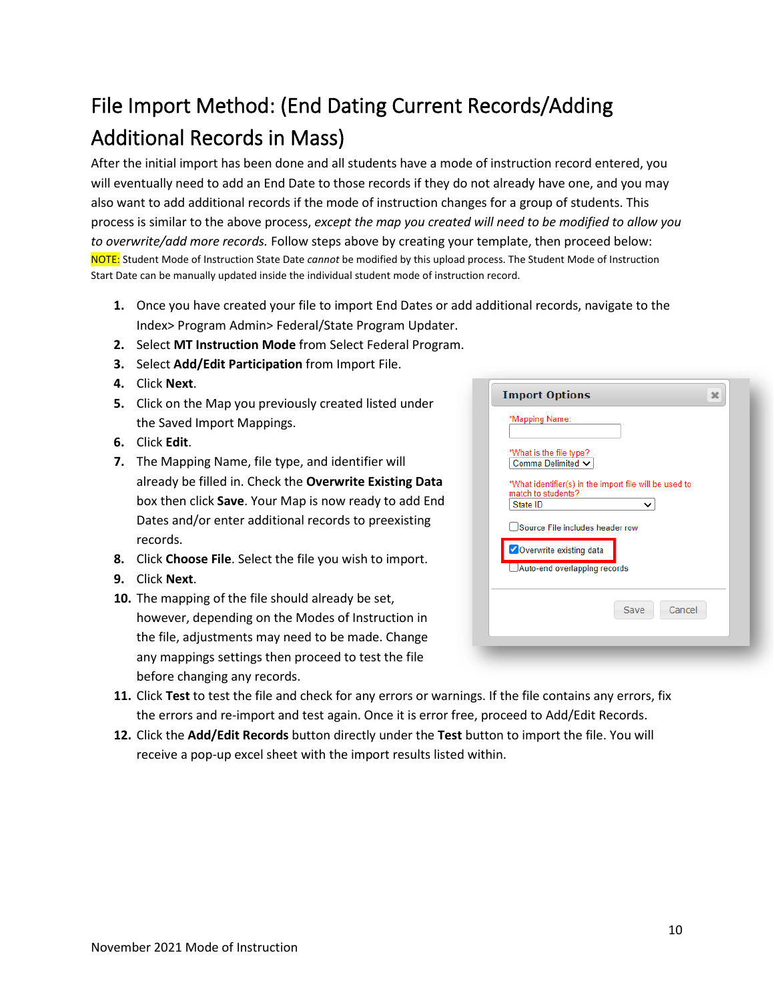# <span id="page-9-0"></span>File Import Method: (End Dating Current Records/Adding Additional Records in Mass)

After the initial import has been done and all students have a mode of instruction record entered, you will eventually need to add an End Date to those records if they do not already have one, and you may also want to add additional records if the mode of instruction changes for a group of students. This process is similar to the above process, *except the map you created will need to be modified to allow you to overwrite/add more records.* Follow steps above by creating your template, then proceed below: NOTE: Student Mode of Instruction State Date *cannot* be modified by this upload process. The Student Mode of Instruction Start Date can be manually updated inside the individual student mode of instruction record.

- **1.** Once you have created your file to import End Dates or add additional records, navigate to the Index> Program Admin> Federal/State Program Updater.
- **2.** Select **MT Instruction Mode** from Select Federal Program.
- **3.** Select **Add/Edit Participation** from Import File.
- **4.** Click **Next**.
- **5.** Click on the Map you previously created listed under the Saved Import Mappings.
- **6.** Click **Edit**.
- **7.** The Mapping Name, file type, and identifier will already be filled in. Check the **Overwrite Existing Data** box then click **Save**. Your Map is now ready to add End Dates and/or enter additional records to preexisting records.
- **8.** Click **Choose File**. Select the file you wish to import.
- **9.** Click **Next**.
- **10.** The mapping of the file should already be set, however, depending on the Modes of Instruction in the file, adjustments may need to be made. Change any mappings settings then proceed to test the file before changing any records.

| <b>Import Options</b>                                                                      | х      |
|--------------------------------------------------------------------------------------------|--------|
| *Mapping Name:                                                                             |        |
| *What is the file type?<br>Comma Delimited V                                               |        |
| *What identifier(s) in the import file will be used to<br>match to students?               |        |
| State ID<br>◡                                                                              |        |
| Source File includes header row<br>Overwrite existing data<br>Auto-end overlapping records |        |
| Save                                                                                       | Cancel |
|                                                                                            |        |

- **11.** Click **Test** to test the file and check for any errors or warnings. If the file contains any errors, fix the errors and re-import and test again. Once it is error free, proceed to Add/Edit Records.
- **12.** Click the **Add/Edit Records** button directly under the **Test** button to import the file. You will receive a pop-up excel sheet with the import results listed within.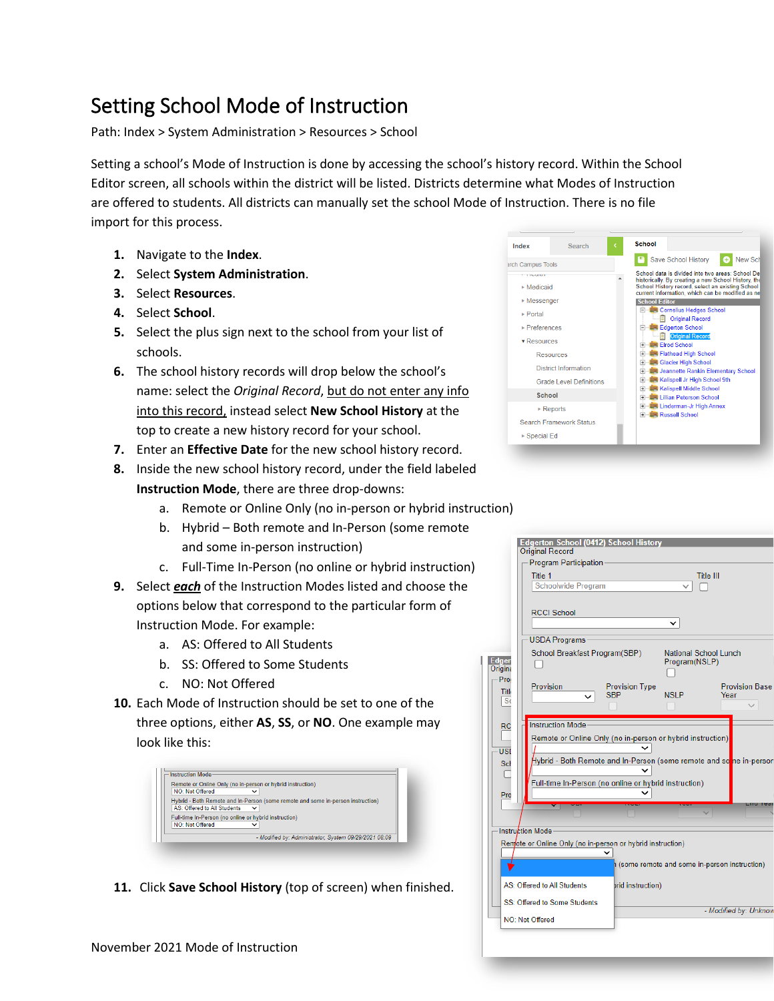## <span id="page-10-0"></span>Setting School Mode of Instruction

Path: Index > System Administration > Resources > School

Setting a school's Mode of Instruction is done by accessing the school's history record. Within the School Editor screen, all schools within the district will be listed. Districts determine what Modes of Instruction are offered to students. All districts can manually set the school Mode of Instruction. There is no file import for this process.

- **1.** Navigate to the **Index**.
- **2.** Select **System Administration**.
- **3.** Select **Resources**.
- **4.** Select **School**.
- **5.** Select the plus sign next to the school from your list of schools.
- **6.** The school history records will drop below the school's name: select the *Original Record*, but do not enter any info into this record, instead select **New School History** at the top to create a new history record for your school.
- **7.** Enter an **Effective Date** for the new school history record.
- **8.** Inside the new school history record, under the field labeled **Instruction Mode**, there are three drop-downs:
	- a. Remote or Online Only (no in-person or hybrid instruction)
	- b. Hybrid Both remote and In-Person (some remote and some in-person instruction)
	- c. Full-Time In-Person (no online or hybrid instruction)
- **9.** Select *each* of the Instruction Modes listed and choose the options below that correspond to the particular form of Instruction Mode. For example:
	- a. AS: Offered to All Students
	- b. SS: Offered to Some Students
	- c. NO: Not Offered
- **10.** Each Mode of Instruction should be set to one of the three options, either **AS**, **SS**, or **NO**. One example may look like this:

| NO: Not Offered                                       | Remote or Online Only (no in-person or hybrid instruction)                      |
|-------------------------------------------------------|---------------------------------------------------------------------------------|
|                                                       | $\check{ }$                                                                     |
|                                                       | Hybrid - Both Remote and In-Person (some remote and some in-person instruction) |
| AS: Offered to All Students                           | $\check{ }$                                                                     |
| Full-time In-Person (no online or hybrid instruction) |                                                                                 |
| <b>NO: Not Offered</b>                                |                                                                                 |
|                                                       | - Modified by: Administrator. System 09/29/2021 08:09                           |

**11.** Click **Save School History** (top of screen) when finished.



|                        | <b>Edgerton School (0412) School History</b><br><b>Original Record</b>            |                                              |                              |
|------------------------|-----------------------------------------------------------------------------------|----------------------------------------------|------------------------------|
|                        | Program Participation                                                             |                                              |                              |
|                        | Title 1                                                                           |                                              | Title III                    |
|                        | <b>Schoolwide Program</b>                                                         |                                              |                              |
|                        |                                                                                   |                                              |                              |
|                        | <b>RCCI School</b>                                                                |                                              |                              |
|                        |                                                                                   |                                              |                              |
|                        | <b>USDA Programs</b>                                                              |                                              |                              |
| dger<br>rigina         | School Breakfast Program(SBP)                                                     | Program(NSLP)                                | <b>National School Lunch</b> |
| - Pro                  | Provision                                                                         | <b>Provision Type</b>                        | <b>Provision Base</b>        |
| Titl<br>S <sub>c</sub> | <b>SBP</b>                                                                        | <b>NSLP</b>                                  | Year                         |
|                        |                                                                                   |                                              |                              |
| RC                     | <b>Instruction Mode</b>                                                           |                                              |                              |
|                        | Remote or Online Only (no in-person or hybrid instruction)                        |                                              |                              |
| USI                    |                                                                                   |                                              |                              |
| Sch                    | Hybrid - Both Remote and In-Person (some remote and so <mark>m</mark> e in-person |                                              |                              |
|                        |                                                                                   |                                              |                              |
|                        | Full-time In-Person (no online or hybrid instruction)                             |                                              |                              |
| Pro                    |                                                                                   |                                              |                              |
|                        |                                                                                   |                                              |                              |
|                        | Instruction Mode                                                                  |                                              |                              |
|                        | Remote or Online Only (no in-person or hybrid instruction)                        |                                              |                              |
|                        |                                                                                   |                                              |                              |
|                        |                                                                                   | (some remote and some in-person instruction) |                              |
|                        | AS: Offered to All Students                                                       | prid instruction)                            |                              |
|                        | SS: Offered to Some Students                                                      |                                              |                              |
|                        | NO: Not Offered                                                                   |                                              | - Modified by: Unknow        |
|                        |                                                                                   |                                              |                              |
|                        |                                                                                   |                                              |                              |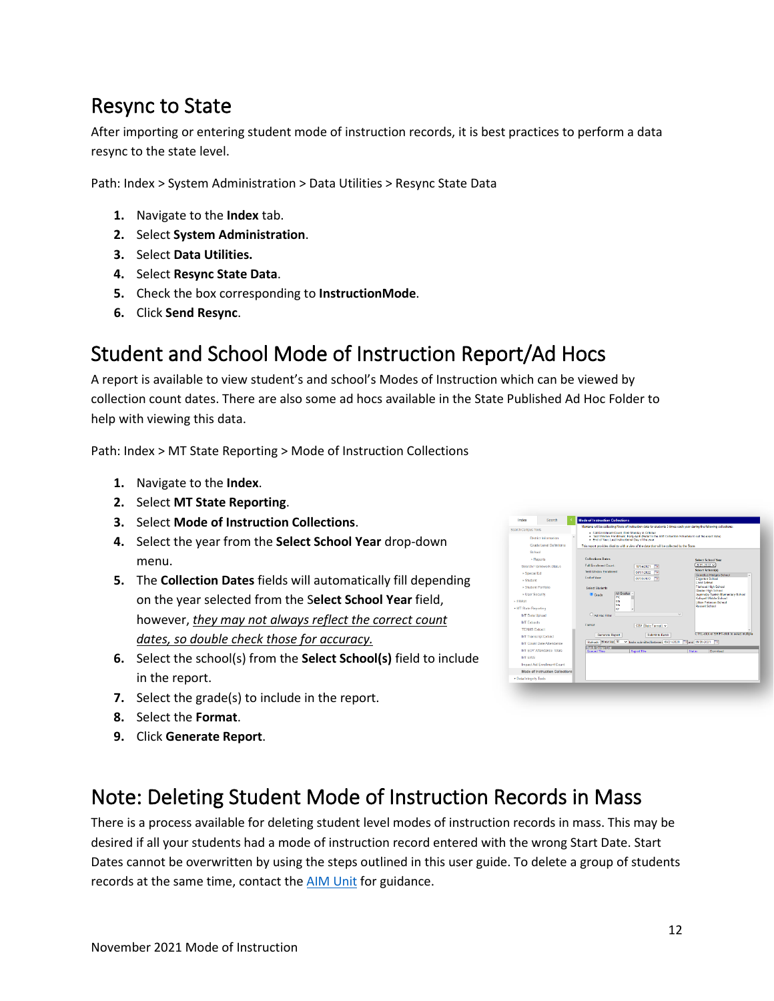### <span id="page-11-0"></span>Resync to State

After importing or entering student mode of instruction records, it is best practices to perform a data resync to the state level.

Path: Index > System Administration > Data Utilities > Resync State Data

- **1.** Navigate to the **Index** tab.
- **2.** Select **System Administration**.
- **3.** Select **Data Utilities.**
- **4.** Select **Resync State Data**.
- **5.** Check the box corresponding to **InstructionMode**.
- **6.** Click **Send Resync**.

### <span id="page-11-1"></span>Student and School Mode of Instruction Report/Ad Hocs

A report is available to view student's and school's Modes of Instruction which can be viewed by collection count dates. There are also some ad hocs available in the State Published Ad Hoc Folder to help with viewing this data.

Path: Index > MT State Reporting > Mode of Instruction Collections

- **1.** Navigate to the **Index**.
- **2.** Select **MT State Reporting**.
- **3.** Select **Mode of Instruction Collections**.
- **4.** Select the year from the **Select School Year** drop-down menu.
- **5.** The **Collection Dates** fields will automatically fill depending on the year selected from the S**elect School Year** field, however, *they may not always reflect the correct count dates, so double check those for accuracy.*
- **6.** Select the school(s) from the **Select School(s)** field to include in the report.
- **7.** Select the grade(s) to include in the report.
- **8.** Select the **Format**.
- **9.** Click **Generate Report**.

| Search Campus Tools<br><b>District Information</b><br>Grade Level Definitions                                                                                                                                                                   | Montana will be collecting Mode of Instruction data for students 3 times each year during the following collections:<br>- Fall Enrolment Count, First Monday in October<br>- Test Window Enrollment, Early April (Refer to the AIM Collection Schedule to set the exect date)<br>- End of Year, Last Instructional Day of the year.<br>This report provides districts with a view of the data that will be collected by the State.                                                                                                                                                                      |
|-------------------------------------------------------------------------------------------------------------------------------------------------------------------------------------------------------------------------------------------------|---------------------------------------------------------------------------------------------------------------------------------------------------------------------------------------------------------------------------------------------------------------------------------------------------------------------------------------------------------------------------------------------------------------------------------------------------------------------------------------------------------------------------------------------------------------------------------------------------------|
| School<br>- Reports<br>Search Framework Status<br>» Special Ed<br>» Student<br>» Student Portfolio<br>+ User Security<br>» FRAM<br>* MT State Reporting<br><b>MT Data Upload</b>                                                                | <b>Collections Dates</b><br><b>Soloct School Your</b><br>2021-2022<br><b>Fall Enrolment Count:</b><br>10/04/2021<br>Select School(s)<br>Test Window Forelinent<br>04/01/2022<br>Comelius Hedges Schrol<br><b>End of Your</b><br>06/30/2022<br><b>Edgerton School</b><br><b>Fired School</b><br><b>Flathead High School</b><br><b>Salari Students</b><br>Glacier High School<br>All Grades<br>C Grade<br>Jeannette Rankin Elementary School<br>PK<br>Kaliscell Middle School<br><b>Gels</b><br>Lillian Peterson School<br><b>Gets</b><br><b>Russell School</b><br>KF<br>$\checkmark$<br>Clari Her Filter |
| <b>MT Fatracts</b><br><b>TEAMS Extract</b><br><b>MT Transcript Extract</b><br>MT Count Date Attendance<br>MT EOY Attendance Totals<br><b>MT EWS</b><br>Impact Aid Enrollmont Count<br>Mode of Instruction Collections<br>· Data Integrity Tools | <b>Enamati</b><br>CSV (State Fermat) ~<br>CTRL-click or SHIFT-click to select multiple<br>Generate Report<br><b>Submit to Batch</b><br>Refresh Show top 50<br>V Iasks submitted between 09/21/2021<br>Tel. and 19/20/2021 Tel.<br><b>Batch Queue List</b><br><b>Cusued Time</b><br>Report Title<br>Steam<br>Download                                                                                                                                                                                                                                                                                    |

### <span id="page-11-2"></span>Note: Deleting Student Mode of Instruction Records in Mass

There is a process available for deleting student level modes of instruction records in mass. This may be desired if all your students had a mode of instruction record entered with the wrong Start Date. Start Dates cannot be overwritten by using the steps outlined in this user guide. To delete a group of students records at the same time, contact the **AIM Unit** for guidance.